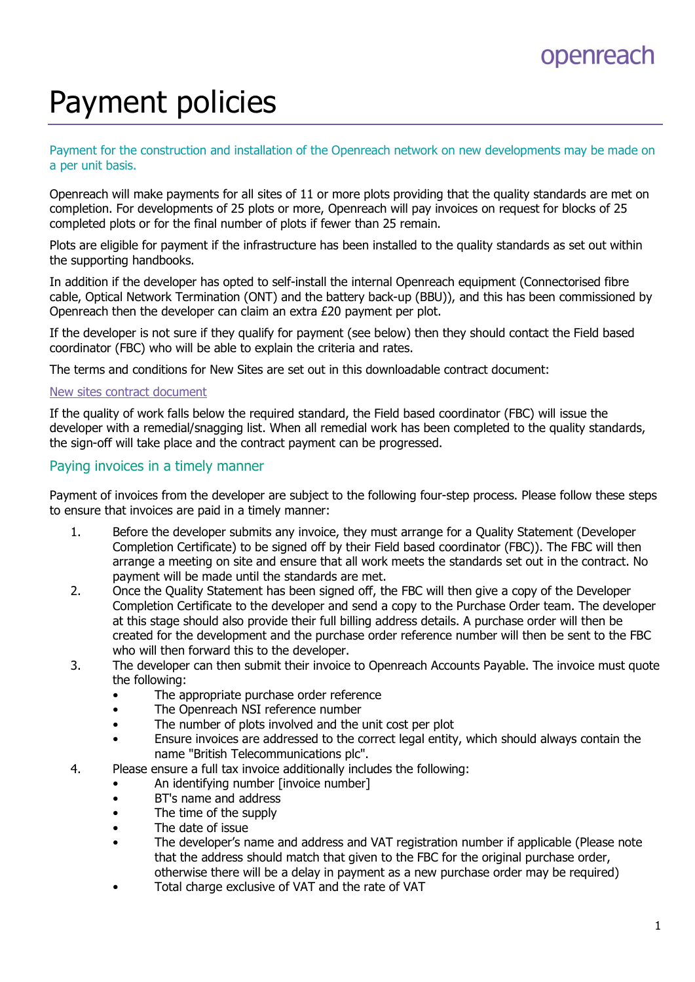## openreach

# Payment policies

Payment for the construction and installation of the Openreach network on new developments may be made on a per unit basis.

Openreach will make payments for all sites of 11 or more plots providing that the quality standards are met on completion. For developments of 25 plots or more, Openreach will pay invoices on request for blocks of 25 completed plots or for the final number of plots if fewer than 25 remain.

Plots are eligible for payment if the infrastructure has been installed to the quality standards as set out within the supporting handbooks.

In addition if the developer has opted to self-install the internal Openreach equipment (Connectorised fibre cable, Optical Network Termination (ONT) and the battery back-up (BBU)), and this has been commissioned by Openreach then the developer can claim an extra £20 payment per plot.

If the developer is not sure if they qualify for payment (see below) then they should contact the Field based coordinator (FBC) who will be able to explain the criteria and rates.

The terms and conditions for New Sites are set out in this downloadable contract document:

#### New sites contract document

If the quality of work falls below the required standard, the Field based coordinator (FBC) will issue the developer with a remedial/snagging list. When all remedial work has been completed to the quality standards, the sign-off will take place and the contract payment can be progressed.

### Paying invoices in a timely manner

Payment of invoices from the developer are subject to the following four-step process. Please follow these steps to ensure that invoices are paid in a timely manner:

- 1. Before the developer submits any invoice, they must arrange for a Quality Statement (Developer Completion Certificate) to be signed off by their Field based coordinator (FBC)). The FBC will then arrange a meeting on site and ensure that all work meets the standards set out in the contract. No payment will be made until the standards are met.
- 2. Once the Quality Statement has been signed off, the FBC will then give a copy of the Developer Completion Certificate to the developer and send a copy to the Purchase Order team. The developer at this stage should also provide their full billing address details. A purchase order will then be created for the development and the purchase order reference number will then be sent to the FBC who will then forward this to the developer.
- 3. The developer can then submit their invoice to Openreach Accounts Payable. The invoice must quote the following:
	- The appropriate purchase order reference
	- The Openreach NSI reference number
	- The number of plots involved and the unit cost per plot
	- Ensure invoices are addressed to the correct legal entity, which should always contain the name "British Telecommunications plc".
- 4. Please ensure a full tax invoice additionally includes the following:
	- An identifying number [invoice number]
	- BT's name and address
	- The time of the supply
	- The date of issue
	- The developer's name and address and VAT registration number if applicable (Please note that the address should match that given to the FBC for the original purchase order, otherwise there will be a delay in payment as a new purchase order may be required)
	- Total charge exclusive of VAT and the rate of VAT